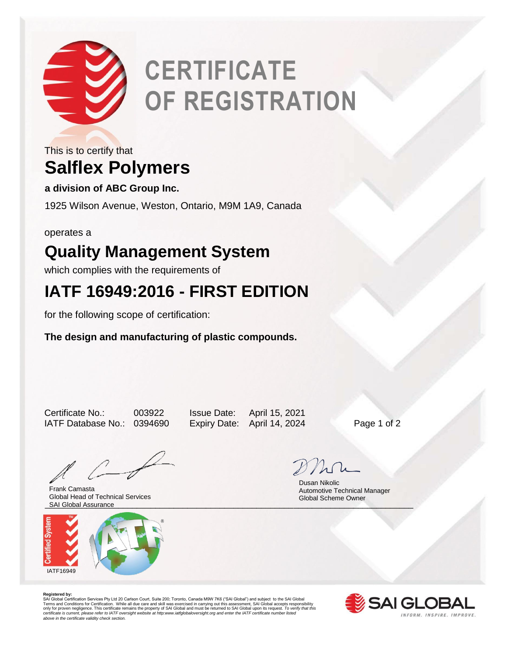

# **CERTIFICATE OF REGISTRATION**

### **Salflex Polymers** This is to certify that

**a division of ABC Group Inc.**

1925 Wilson Avenue, Weston, Ontario, M9M 1A9, Canada

operates a

# **Quality Management System**

which complies with the requirements of

## **IATF 16949:2016 - FIRST EDITION**

for the following scope of certification:

**The design and manufacturing of plastic compounds.** 

Certificate No.: 003922 Issue Date: April 15, 2021 IATF Database No.: 0394690 Expiry Date: April 14, 2024 Page 1 of 2

\_\_\_\_\_\_\_\_\_\_\_\_\_\_\_\_\_\_\_\_\_\_\_\_\_\_\_\_\_\_\_\_\_\_\_\_\_\_\_\_\_\_\_\_\_\_\_\_\_\_\_\_\_\_\_\_\_\_\_\_\_\_\_\_\_\_\_\_\_\_\_\_\_\_\_\_\_\_\_\_ SAI Global Assurance Frank Camasta Global Head of Technical Services



 Dusan Nikolic Automotive Technical Manager Global Scheme Owner

**Registered by:**<br>SAI Global Certification Services Pty Ltd 20 Carlson Court, Suite 200; Toronto, Canada M9W 7K6 ("SAI Global") and subject to the SAI Global<br>Terms and Conditions for Certification. While all due care and sk *certificate is current, please refer to IATF oversight website at http:www.iatfglobaloversight.org and enter the IATF certificate number listed above in the certificate validity check section.*